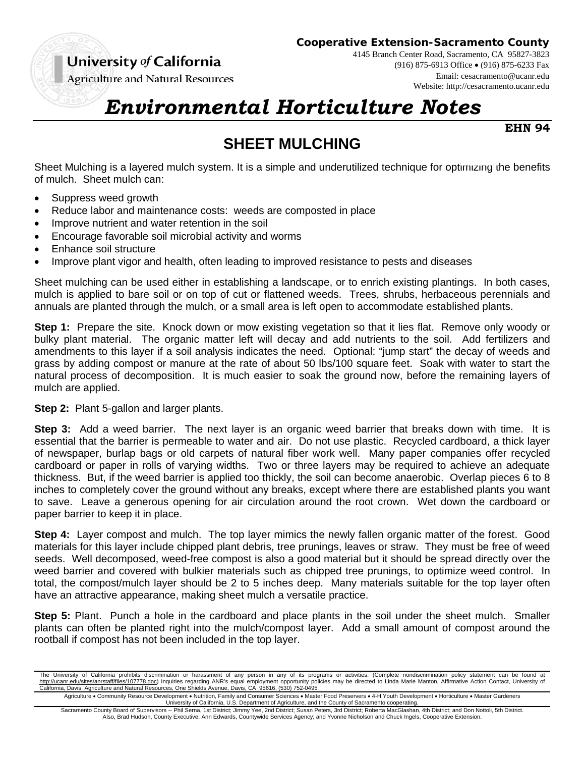University of California

**Agriculture and Natural Resources** 

**Cooperative Extension-Sacramento County**

4145 Branch Center Road, Sacramento, CA 95827-3823 (916) 875-6913 Office (916) 875-6233 Fax

Email: cesacramento@ucanr.edu Website: http://cesacramento.ucanr.edu

## *Environmental Horticulture Notes*

**EHN 94**

## **SHEET MULCHING**

Sheet Mulching is a layered mulch system. It is a simple and underutilized technique for optimizing the benefits of mulch. Sheet mulch can:

- Suppress weed growth
- Reduce labor and maintenance costs: weeds are composted in place
- Improve nutrient and water retention in the soil
- Encourage favorable soil microbial activity and worms
- Enhance soil structure
- Improve plant vigor and health, often leading to improved resistance to pests and diseases

Sheet mulching can be used either in establishing a landscape, or to enrich existing plantings. In both cases, mulch is applied to bare soil or on top of cut or flattened weeds. Trees, shrubs, herbaceous perennials and annuals are planted through the mulch, or a small area is left open to accommodate established plants.

**Step 1:** Prepare the site. Knock down or mow existing vegetation so that it lies flat. Remove only woody or bulky plant material. The organic matter left will decay and add nutrients to the soil. Add fertilizers and amendments to this layer if a soil analysis indicates the need. Optional: "jump start" the decay of weeds and grass by adding compost or manure at the rate of about 50 lbs/100 square feet. Soak with water to start the natural process of decomposition. It is much easier to soak the ground now, before the remaining layers of mulch are applied.

**Step 2:** Plant 5-gallon and larger plants.

**Step 3:** Add a weed barrier. The next layer is an organic weed barrier that breaks down with time. It is essential that the barrier is permeable to water and air. Do not use plastic. Recycled cardboard, a thick layer of newspaper, burlap bags or old carpets of natural fiber work well. Many paper companies offer recycled cardboard or paper in rolls of varying widths. Two or three layers may be required to achieve an adequate thickness. But, if the weed barrier is applied too thickly, the soil can become anaerobic. Overlap pieces 6 to 8 inches to completely cover the ground without any breaks, except where there are established plants you want to save. Leave a generous opening for air circulation around the root crown. Wet down the cardboard or paper barrier to keep it in place.

**Step 4:** Layer compost and mulch. The top layer mimics the newly fallen organic matter of the forest. Good materials for this layer include chipped plant debris, tree prunings, leaves or straw. They must be free of weed seeds. Well decomposed, weed-free compost is also a good material but it should be spread directly over the weed barrier and covered with bulkier materials such as chipped tree prunings, to optimize weed control. In total, the compost/mulch layer should be 2 to 5 inches deep. Many materials suitable for the top layer often have an attractive appearance, making sheet mulch a versatile practice.

**Step 5:** Plant. Punch a hole in the cardboard and place plants in the soil under the sheet mulch. Smaller plants can often be planted right into the mulch/compost layer. Add a small amount of compost around the rootball if compost has not been included in the top layer.

Agriculture . Community Resource Development . Nutrition, Family and Consumer Sciences . Master Food Preservers . 4-H Youth Development . Horticulture . Master Gardeners University of California, U.S. Department of Agriculture, and the County of Sacramento cooperating.

Sacramento County Board of Supervisors -- Phil Serna, 1st District; Jimmy Yee, 2nd District; Susan Peters, 3rd District; Roberta MacGlashan, 4th District; and Don Nottoli, 5th District. Also, Brad Hudson, County Executive; Ann Edwards, Countywide Services Agency; and Yvonne Nicholson and Chuck Ingels, Cooperative Extension.

The University of California prohibits discrimination or harassment of any person in any of its programs or activities. (Complete nondiscrimination policy statement can be found at http://ucanr.edu/sites/anrstaff/files/107778.doc) Inquiries regarding ANR's equal employment opportunity policies may be directed to Linda Marie Manton, Affirmative Action Contact, University of California, Davis, Agriculture and Natural Resources, One Shields Avenue, Davis, CA 95616, (530) 752-0495